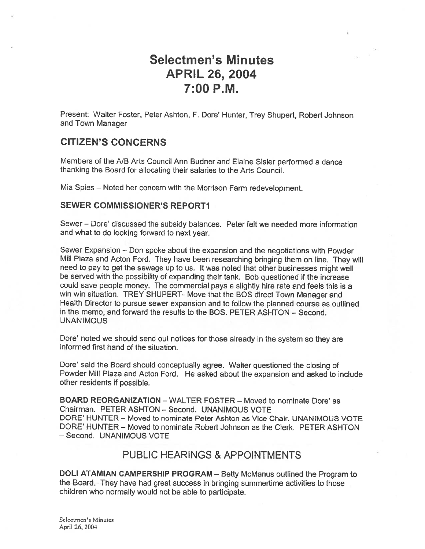# Selectmen's Minutes APRIL 26, 2004 7:00 P.M.

Present: Walter Foster, Peter Ashton, F. Dore' Hunter, Trey Shupert, Robert Johnson and Town Manager

# CITIZEN'S CONCERNS

Members of the NB Arts Council Ann Budner and Elaine Sisler performed <sup>a</sup> dance thanking the Board for allocating their salaries to the Arts Council.

Mia Spies — Noted her concern with the Morrison Farm redevelopment.

#### SEWER COMMISSIONER'S REPORTI

Sewer — Dore' discussed the subsidy balances. Peter felt we needed mote information and what to do looking forward to next year.

Sewer Expansion — Don spoke about the expansion and the negotiations with Powder Mill Plaza and Acton Ford. They have been researching bringing them on line. They will need to pay to ge<sup>t</sup> the sewage up to us. It was noted that other businesses might well be served with the possibility of expanding their tank. Bob questioned if the increase could save people money. The commercial pays <sup>a</sup> slightly hire rate and feels this is <sup>a</sup> win win situation. TREY SHUPERT- Move that the EQS direct Town Manager and Health Director to pursue sewer expansion and to follow the <sup>p</sup>lanned course as outlined in the memo, and forward the results to the BOS. PETER ASHTON — Second. UNANIMOUS

Dore' noted we should send out notices for those already in the system so they are informed first hand of the situation.

Dote' said the Board should conceptually agree. Walter questioned the closing of Powder Mill Plaza and Acton Ford. He asked about the expansion and asked to include other residents if possible.

BOARD REORGANIZATION - WALTER FOSTER - Moved to nominate Dore' as Chairman. PETER ASHTON — Second. UNANIMOUS VOTE DORE' HUNTER - Moved to nominate Peter Ashton as Vice Chair. UNANIMOUS VOTE DORE' HUNTER — Moved to nominate Robert Johnson as the Clerk. PETER ASHTON — Second. UNANIMOUS VOTE

### PUBLIC HEARINGS & APPOINTMENTS

DOLl ATAMIAN CAMPERSHIP PROGRAM — Betty McManus outlined the Program to the Board. They have had grea<sup>t</sup> success in bringing summertime activities to those children who normally would not be able to participate.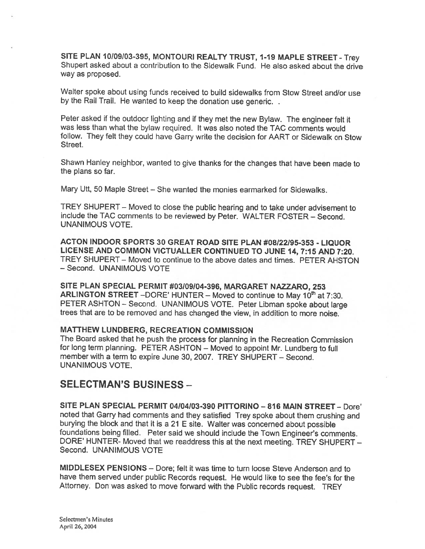SITE PLAN 10/09/03-395, MONTOURI REALTY TRUST, 1-19 MAPLE STREET - Trey Shupert asked about a contribution to the Sidewalk Fund. He also asked about the drive way as proposed.

Walter spoke about using funds received to build sidewalks from Stow Street and/or use by the Rail Trail. He wanted to keep the donation use generic..

Peter asked if the outdoor lighting and if they met the new Bylaw. The engineer felt it was less than what the bylaw required. It was also noted the TAC comments would follow. They felt they could have Garry write the decision for AART or Sidewalk on Stow Street.

Shawn Hanley neighbor, wanted to <sup>g</sup>ive thanks for the changes that have been made to the plans so far.

Mary Utt, 50 Maple Street — She wanted the monies earmarked for Sidewalks.

TREY SHUPERT — Moved to close the public hearing and to take under advisement to include the TAC comments to be reviewed by Peter. WALTER FOSTER — Second. UNANIMOUS VOTE.

ACTON INDOOR SPORTS <sup>30</sup> GREAT ROAD SITE PLAN #08/22195-353 - LIQUOR LICENSE AND COMMON VICTUALLER CONTINUED TO JUNE 14, 7:15 AND 7:20. TREY SHUPERT — Moved to continue to the above dates and times. PETER AHSTON - Second. UNANIMOUS VOTE

SITE PLAN SPECIAL PERMIT #03/09104-396, MARGARET NAZZARO, 253 ARLINGTON STREET – DORE' HUNTER – Moved to continue to May 10<sup>th</sup> at 7:30. PETER ASHTON — Second. UNANIMOUS VOTE. Peter Libman spoke about large trees that are to be removed and has changed the view, in addition to more noise.

#### MATTHEW LUNDBERG, RECREATION COMMISSION

The Board asked that he push the process for <sup>p</sup>lanning in the Recreation Commission for long term <sup>p</sup>lanning. PETER ASHTON — Moved to appoint Mr. Lundberg to full member with <sup>a</sup> term to expire June 30, 2007. TREY SHUPERT — Second. UNANIMOUS VOTE.

#### SELECTMAN'S BUSiNESS —

SITE PLAN SPECIAL PERMIT 04104/03-390 PJIfORINO —816 MAIN STREET — Dore' noted that Garry had comments and they satisfied Trey spoke about them crushing and burying the block and that it is <sup>a</sup> <sup>21</sup> <sup>E</sup> site. Walter was concerned about possible foundations being filled. Peter said we should include the Town Engineer's comments. DORE' HUNTER- Moved that we readdress this at the next meeting. TREY SHUPERT — Second. UNAN1MOUS VOTE

MIDDLESEX PENSIONS — Dore; felt it was time to turn loose Steve Anderson and to have them served under public Records request. He would like to see the fee's for the Attorney. Don was asked to move forward with the Public records request. TREY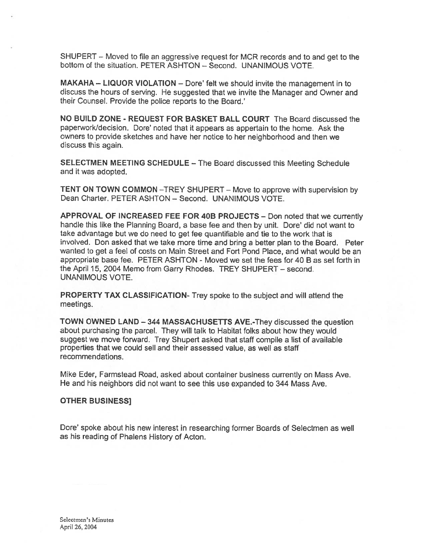SHUPERT — Moved to file an aggressive reques<sup>t</sup> for MCR records and to and ge<sup>t</sup> to the bottom of the situation. PETER ASHTON — Second. UNANIMOUS VOTE.

MAKAHA — LIQUOR VIOLATION — Dote' felt we should invite the managemen<sup>t</sup> in to discuss the hours of serving. He suggested that we invite the Manager and Owner and their Counsel. Provide the police reports to the Board.'

NO BUILD ZONE - REQUEST FOR BASKET BALL COURT The Board discussed the paperworkidecision. Dore' noted that it appears as appertain to the home. Ask the owners to provide sketches and have her notice to her neighborhood and then we discuss this again.

SELECTMEN MEETING SCHEDULE — The Board discussed this Meeting Schedule and it was adopted.

TENT ON TOWN COMMON —TREY SHUPERT — Move to approve with supervision by Dean Charter. PETER ASHTON — Second. UNANIMOUS VOTE.

APPROVAL OF INCREASED FEE FOR 40B PROJECTS — Don noted that we currently handle this like the Planning Board, <sup>a</sup> base fee and then by unit. Dore' did not want to take advantage but we do need to ge<sup>t</sup> fee quantifiable and tie to the work that is involved. Don asked that we take more time and bring <sup>a</sup> better <sup>p</sup>lan to the Board. Peter wanted to ge<sup>t</sup> <sup>a</sup> feel of costs on Main Street and Fort Pond Place, and what would be an appropriate base fee. PETER ASHTON - Moved we set the fees for 40 B as set forth in the April 15, 2004 Memo from Garry Rhodes. TREY SHUPERT — second. UNANIMOUS VOTE.

PROPERTY TAX CLASSIFICATION- Trey spoke to the subject and will attend the meetings.

TOWN OWNED LAND — <sup>344</sup> MASSACHUSETTS AVE.-They discussed the question about purchasing the parcel. They will talk to Habitat folks about how they would sugges<sup>t</sup> we move forward. Trey Shupert asked that staff compile <sup>a</sup> list of available properties that we could sell and their assessed value, as well as staff recommendations.

Mike Eder, Farmstead Road, asked about container business currently on Mass Ave. He and his neighbors did not want to see this use expanded to 344 Mass Ave.

#### OTHER BUSINESS]

Dore' spoke about his new interest in researching former Boards of Selectmen as well as his reading of Phalens History of Acton.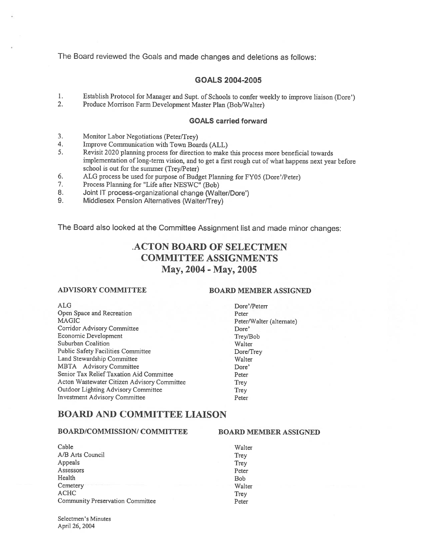The Board reviewed the Goals and made changes and deletions as follows:

#### GOALS 2004-2005

- 1. Establish Protocol for Manager and Supt. of Schools to confer weekly to improve liaison (Dore')<br>2. Produce Morrison Farm Development Master Plan (Bob/Walter)
- 2. Produce Morrison farm Development Master Plan (Bob/Walter)

#### GOALS carried forward

- 3. Monitor Labor Negotiations (Peter/Trey)<br>4. Improve Communication with Town Boa
- Improve Communication with Town Boards (ALL)
- 5. Revisit <sup>2020</sup> <sup>p</sup>lanning process for direction to make this process more beneficial towards implementation of long-term vision, and to ge<sup>t</sup> <sup>a</sup> first roug<sup>h</sup> cut of what happens next year before school is out for the summer (Trey/Peter)
- 6. ALG process be used for purpose of Budget Planning for FY05 (Dore'/Peter)
- 7. Process Planning for "Life after NESWC" (Bob)
- 8. Joint IT process-organizational change (Walter/Dore')<br>9. Middlesex Pension Alternatives (Walter/Trev)
- Middlesex Pension Alternatives (Walter/Trey)

The Board also looked at the Committee Assignment list and made minor changes:

# .ACTON BOARD OF SELECTMEN COMMITTEE ASSIGNMENTS May, 2004-May, 2005

#### ADVISORY COMMITTEE BOARD MEMBER ASSIGNED

| <b>ALG</b>                                  | Dore'/        |
|---------------------------------------------|---------------|
| Open Space and Recreation                   | Peter         |
| <b>MAGIC</b>                                | $Peter\wedge$ |
| Corridor Advisory Committee                 | Dore'         |
| Economic Development                        | Trey/B        |
| Suburban Coalition                          | Walter        |
| <b>Public Safety Facilities Committee</b>   | Dore/T        |
| Land Stewardship Committee                  | Walter        |
| MBTA Advisory Committee                     | Dore'         |
| Senior Tax Relief Taxation Aid Committee    | Peter         |
| Acton Wastewater Citizen Advisory Committee | Trey          |
| Outdoor Lighting Advisory Committee         | Trey          |
| <b>Investment Advisory Committee</b>        | Peter         |

# Dore'/Peterr Peter/Walter (alternate) Trey/Bob Dore/Trey

## BOARD AND COMMITTEE LIAISON

#### BOARD/COMMISSION/ COMMITTEE BOARD MEMBER ASSIGNED

| Cable                            | Walter     |
|----------------------------------|------------|
| A/B Arts Council                 | Trey       |
| Appeals                          | Trey       |
| Assessors                        | Peter      |
| Health                           | <b>Bob</b> |
| Cemetery                         | Walter     |
| <b>ACHC</b>                      | Trey       |
| Community Preservation Committee | Peter      |

Selectmen's Minutes April 26, 2004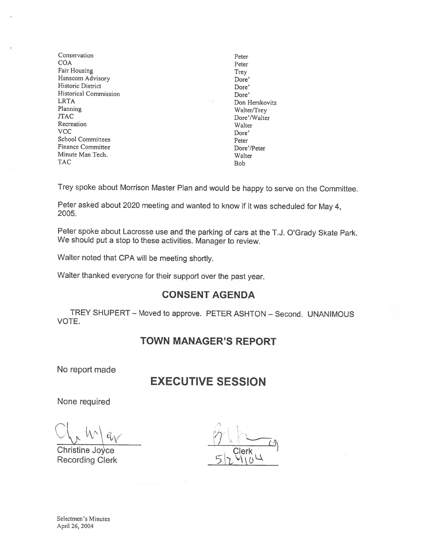- Conservation Peter<br>COA Peter COA Peter Fair Housing Trey<br>Hanscom Advisory Channel Hanscom Advisory Dore Hanscom Advisory Historic District Dore' Historical Commission Dore' LRTA Don Herskovitz<br>
Planning Walter/Trev Planning Walter/Trey<br>
TAC Dore'/Walter Recreation Walter VCC Dore' School Committees Peter Finance Committee Dore'/Peter Minute Man Tech. Walter TAC Bob
- Dore'/Walter

Trey spoke about Morrison Master Plan and would be happy to serve on the Committee.

Peter asked about <sup>2020</sup> meeting and wanted to know if it was scheduled for May 4, 2005.

Peter spoke about Lacrosse use and the parking of cars at the T.J. O'Grady Skate Park. We should put <sup>a</sup> stop to these activities. Manager to review.

Walter noted that CPA will be meeting shortly.

Walter thanked everyone for their support over the past year.

#### CONSENT AGENDA

TREY SHUPERT — Moved to approve. PETER ASHTON — Second. UNANIMOUS VOTE.

#### TOWN MANAGER'S REPORT

No report made

# EXECUTIVE SESSION

None required

 $\bigcap$ 

Christine Joyce Christian Clerk Recording Clerk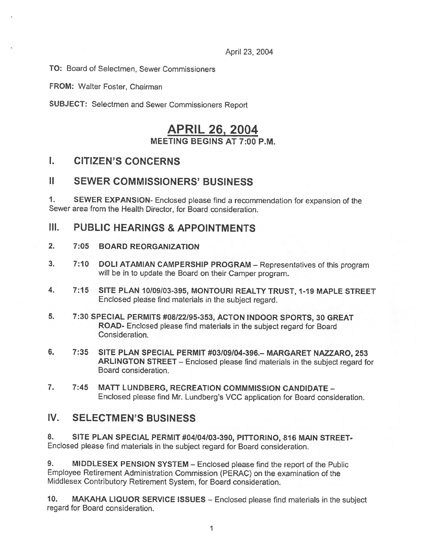April 23, 2004

TO: Board of Selectmen, Sewer Commissioners

FROM: Walter Foster, Chairman

SUBJECT: Selectmen and Sewer Commissioners Report

# APRIL 26, 2004 MEETING BEGINS AT 7:00 P.M.

# I. CITIZEN'S CONCERNS

## II SEWER COMMISSIONERS' BUSINESS

1. SEWER EXPANSION- Enclosed <sup>p</sup>lease find <sup>a</sup> recommendation for expansion of the Sewer area from the Health Director, for Board consideration.

# III. PUBLIC HEARiNGS & APPOINTMENTS

- 2. 7:05 BOARD REORGANIZATION
- 3. 7:10 DOLl ATAMIAN CAMPERSHIP PROGRAM Representatives of this program will be in to update the Board on their Camper program.
- 4. 7:15 SITE PLAN 10/09/03-395, MONTOURI REALTY TRUST, 1-19 MAPLE STREET Enclosed <sup>p</sup>lease find materials in the subject regard.
- 5. 7:30 SPECIAL PERMITS #08/22195-353, ACTON INDOOR SPORTS, 30 GREAT ROAD- Enclosed <sup>p</sup>lease find materials in the subject regar<sup>d</sup> for Board Consideration.
- 6. 7:35 SITE PLAN SPECIAL PERMIT #03/09/04-396.— MARGARET NAZZARO, 253 ARLINGTON STREET — Enclosed <sup>p</sup>lease find materials in the subject regar<sup>d</sup> for Board consideration.
- 7. 7:45 MATT LUNDBERG, RECREATION COMMMISSION CANDIDATE -Enclosed <sup>p</sup>lease find Mr. Lundberg's VCC application for Board consideration.

# IV. SELECTMEN'S BUSINESS

8. SITE PLAN SPECIAL PERMIT #04/04/03-390, PITTORINO, 816 MAIN STREET-Enclosed <sup>p</sup>lease find materials in the subject regar<sup>d</sup> for Board consideration.

9. MIDDLESEX PENSION SYSTEM – Enclosed please find the report of the Public Employee Retirement Administration Commission (PERAC) on the examination of the Middlesex Contributory Retirement System, for Board consideration.

10. MAKAHA LIQUOR SERVICE ISSUES — Enclosed <sup>p</sup>lease find materials in the subject regard for Board consideration.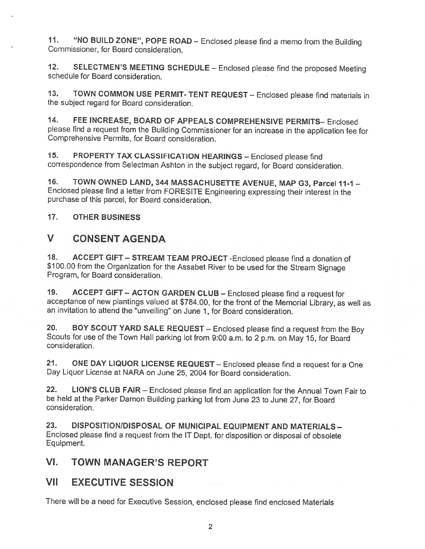11. "NO BUILD ZONE", POPE ROAD - Enclosed please find a memo from the Building Commissioner, for Board consideration.

12. SELECTMEN'S MEETING SCHEDULE – Enclosed please find the proposed Meeting schedule for Board consideration.

13. TOWN COMMON USE PERMIT-TENT REQUEST— Enclosed <sup>p</sup>lease find materials in the subject regard for Board consideration.

14. FEE INCREASE, BOARD OF APPEALS COMPREHENSIVE PERMITS— Enclosed <sup>p</sup>lease find <sup>a</sup> request from the Building Commissioner for an increase in the application fee for Comprehensive Permits, for Board consideration.

15. PROPERTY TAX CLASSIFICATION HEARINGS — Enclosed <sup>p</sup>lease find correspondence from Selectman Ashton in the subject regard, for Board consideration.

16. TOWN OWNED LAND, 344 MASSACHUSETTE AVENUE, MAP G3, Parcel 11-1 -Enclosed <sup>p</sup>lease find <sup>a</sup> letter from FORESITE Engineering expressing their interest in the purchase of this parcel, for Board consideration.

17. OTHER BUSINESS

# V CONSENT AGENDA

18. ACCEPT GIFT — STREAM TEAM PROJECT -Enclosed <sup>p</sup>lease find <sup>a</sup> donation of \$100.00 from the Organization for the Assabet River to be used for the Stream Signage Program, for Board consideration.

19. ACCEPT GIFT — ACTON GARDEN CLUB — Enclosed <sup>p</sup>lease find <sup>a</sup> request for acceptance of new <sup>p</sup>lantings valued at \$784.00, for the front of the Memorial Library, as well as an invitation to attend the "unveiling" on June 1, for Board consideration.

20. BOY SCOUT YARD SALE REQUEST — Enclosed <sup>p</sup>lease find <sup>a</sup> request from the Boy Scouts for use of the Town Hall parking lot from 9:00 a.m, to 2p.m. on May 15, for Board consideration.

21. ONE DAY LIQUOR LICENSE REQUEST — Enclosed <sup>p</sup>lease find <sup>a</sup> request for <sup>a</sup> One Day Liquor License at NARA on June 25, 2004 for Board consideration.

22. LION'S CLUB FAIR — Enclosed <sup>p</sup>lease find an application for the Annual Town Fair to be held at the Parker Damon Building parking lot from June <sup>23</sup> to June 27, for Board consideration.

23. DISPOSITION/DISPOSAL OF MUNICIPAL EQUIPMENT AND MATERIALS -Enclosed <sup>p</sup>lease find <sup>a</sup> request from the IT Dept. for disposition or disposal of obsolete Equipment.

# VI. TOWN MANAGER'S REPORT

# VII EXECUTIVE SESSION

There will be <sup>a</sup> need for Executive Session, enclosed <sup>p</sup>lease find enclosed Materials